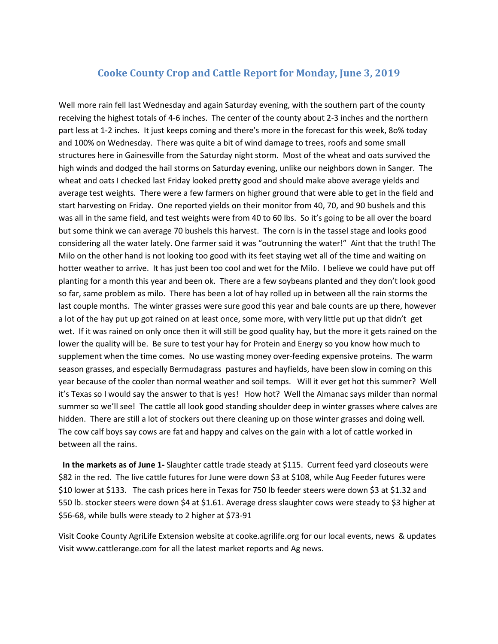## **Cooke County Crop and Cattle Report for Monday, June 3, 2019**

Well more rain fell last Wednesday and again Saturday evening, with the southern part of the county receiving the highest totals of 4-6 inches. The center of the county about 2-3 inches and the northern part less at 1-2 inches. It just keeps coming and there's more in the forecast for this week, 8o% today and 100% on Wednesday. There was quite a bit of wind damage to trees, roofs and some small structures here in Gainesville from the Saturday night storm. Most of the wheat and oats survived the high winds and dodged the hail storms on Saturday evening, unlike our neighbors down in Sanger. The wheat and oats I checked last Friday looked pretty good and should make above average yields and average test weights. There were a few farmers on higher ground that were able to get in the field and start harvesting on Friday. One reported yields on their monitor from 40, 70, and 90 bushels and this was all in the same field, and test weights were from 40 to 60 lbs. So it's going to be all over the board but some think we can average 70 bushels this harvest. The corn is in the tassel stage and looks good considering all the water lately. One farmer said it was "outrunning the water!" Aint that the truth! The Milo on the other hand is not looking too good with its feet staying wet all of the time and waiting on hotter weather to arrive. It has just been too cool and wet for the Milo. I believe we could have put off planting for a month this year and been ok. There are a few soybeans planted and they don't look good so far, same problem as milo. There has been a lot of hay rolled up in between all the rain storms the last couple months. The winter grasses were sure good this year and bale counts are up there, however a lot of the hay put up got rained on at least once, some more, with very little put up that didn't get wet. If it was rained on only once then it will still be good quality hay, but the more it gets rained on the lower the quality will be. Be sure to test your hay for Protein and Energy so you know how much to supplement when the time comes. No use wasting money over-feeding expensive proteins. The warm season grasses, and especially Bermudagrass pastures and hayfields, have been slow in coming on this year because of the cooler than normal weather and soil temps. Will it ever get hot this summer? Well it's Texas so I would say the answer to that is yes! How hot? Well the Almanac says milder than normal summer so we'll see! The cattle all look good standing shoulder deep in winter grasses where calves are hidden. There are still a lot of stockers out there cleaning up on those winter grasses and doing well. The cow calf boys say cows are fat and happy and calves on the gain with a lot of cattle worked in between all the rains.

**In the markets as of June 1-** Slaughter cattle trade steady at \$115. Current feed yard closeouts were \$82 in the red. The live cattle futures for June were down \$3 at \$108, while Aug Feeder futures were \$10 lower at \$133. The cash prices here in Texas for 750 lb feeder steers were down \$3 at \$1.32 and 550 lb. stocker steers were down \$4 at \$1.61. Average dress slaughter cows were steady to \$3 higher at \$56-68, while bulls were steady to 2 higher at \$73-91

Visit Cooke County AgriLife Extension website at cooke.agrilife.org for our local events, news & updates Visit www.cattlerange.com for all the latest market reports and Ag news.